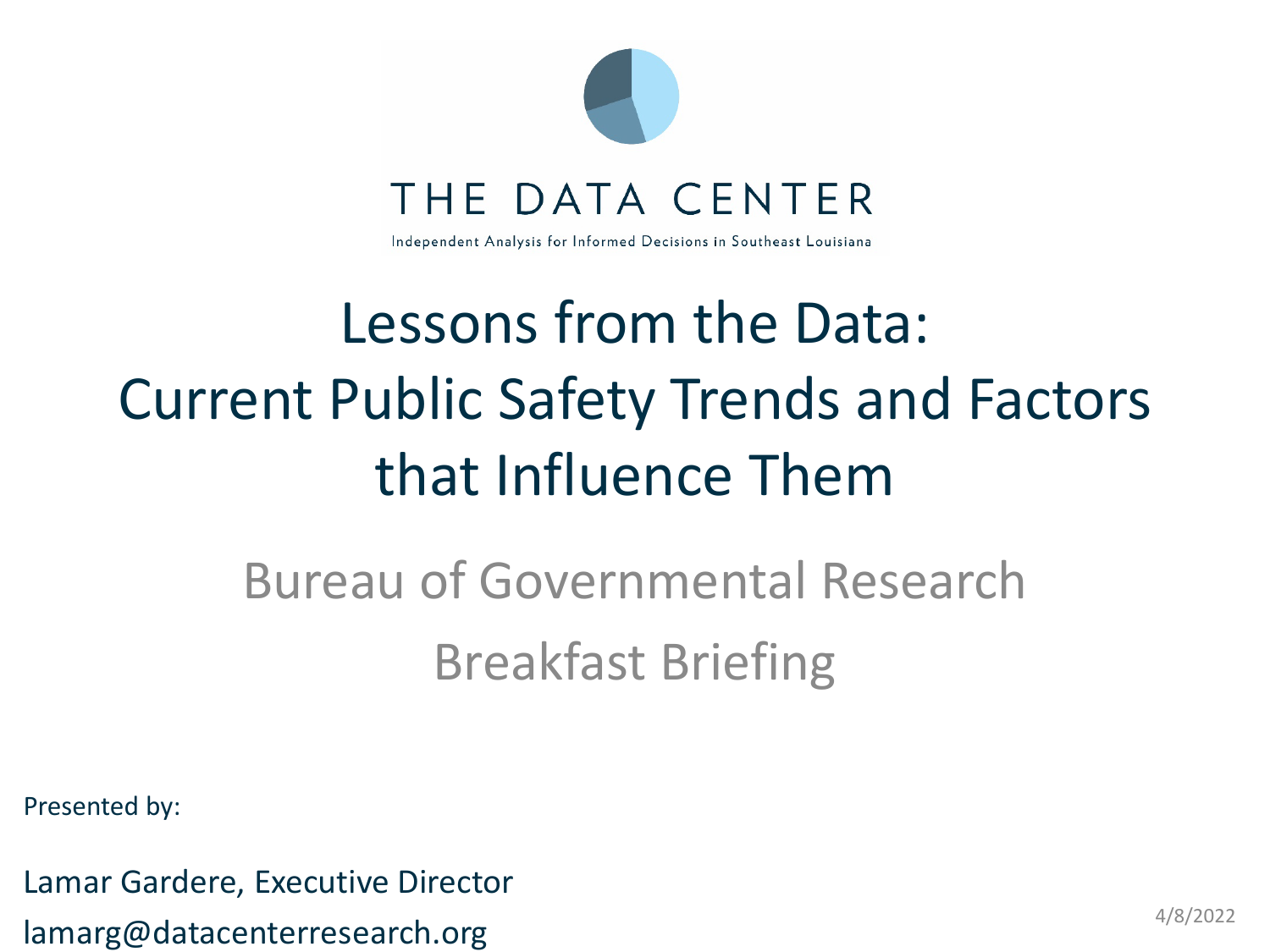

## Lessons from the Data: Current Public Safety Trends and Factors that Influence Them

## Bureau of Governmental Research Breakfast Briefing

Presented by:

Lamar Gardere, Executive Director lamarg@datacenterresearch.org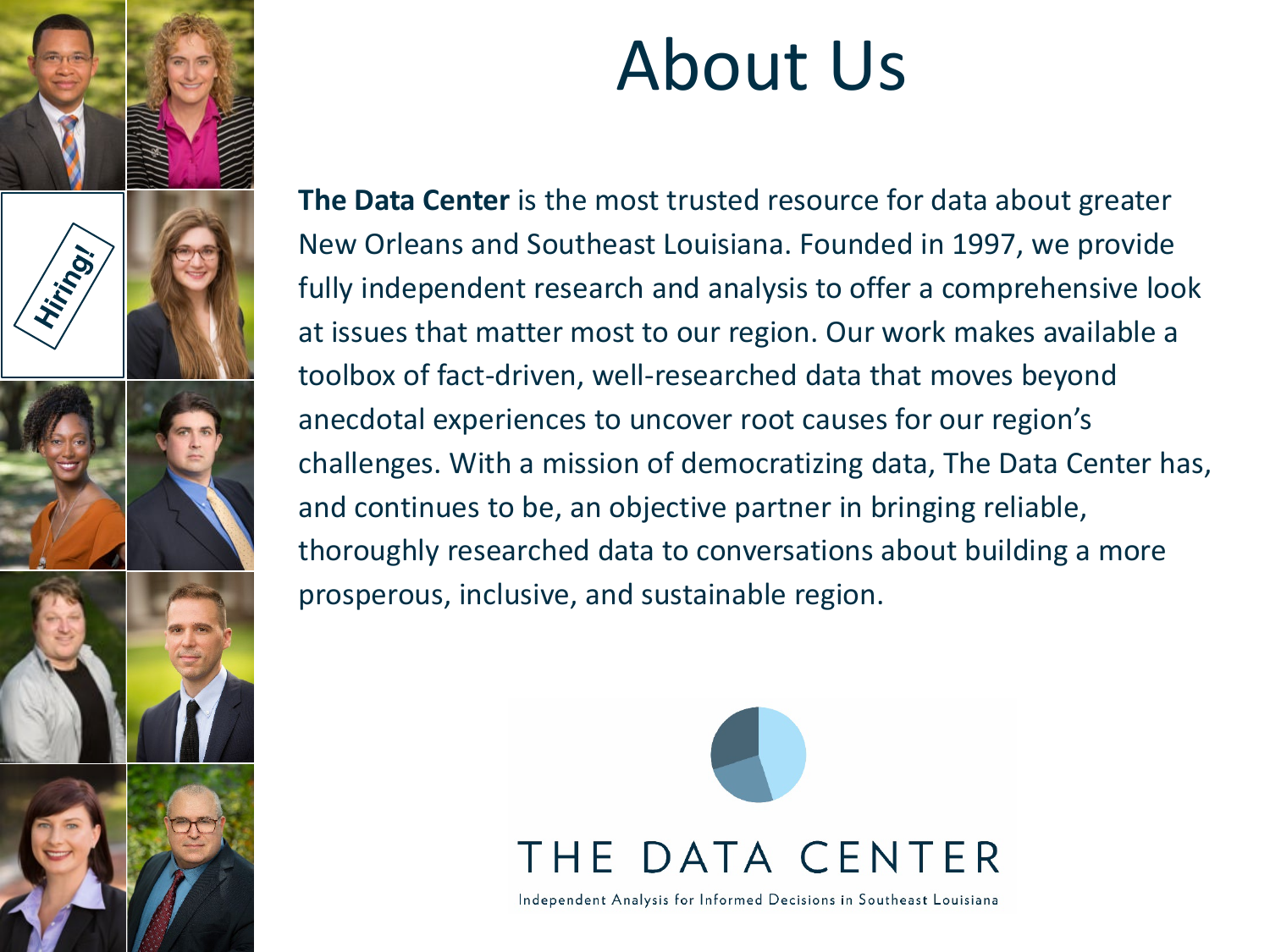

# About Us

**The Data Center** is the most trusted resource for data about greater New Orleans and Southeast Louisiana. Founded in 1997, we provide fully independent research and analysis to offer a comprehensive look at issues that matter most to our region. Our work makes available a toolbox of fact-driven, well-researched data that moves beyond anecdotal experiences to uncover root causes for our region's challenges. With a mission of democratizing data, The Data Center has, and continues to be, an objective partner in bringing reliable, thoroughly researched data to conversations about building a more prosperous, inclusive, and sustainable region.



Independent Analysis for Informed Decisions in Southeast Louisiana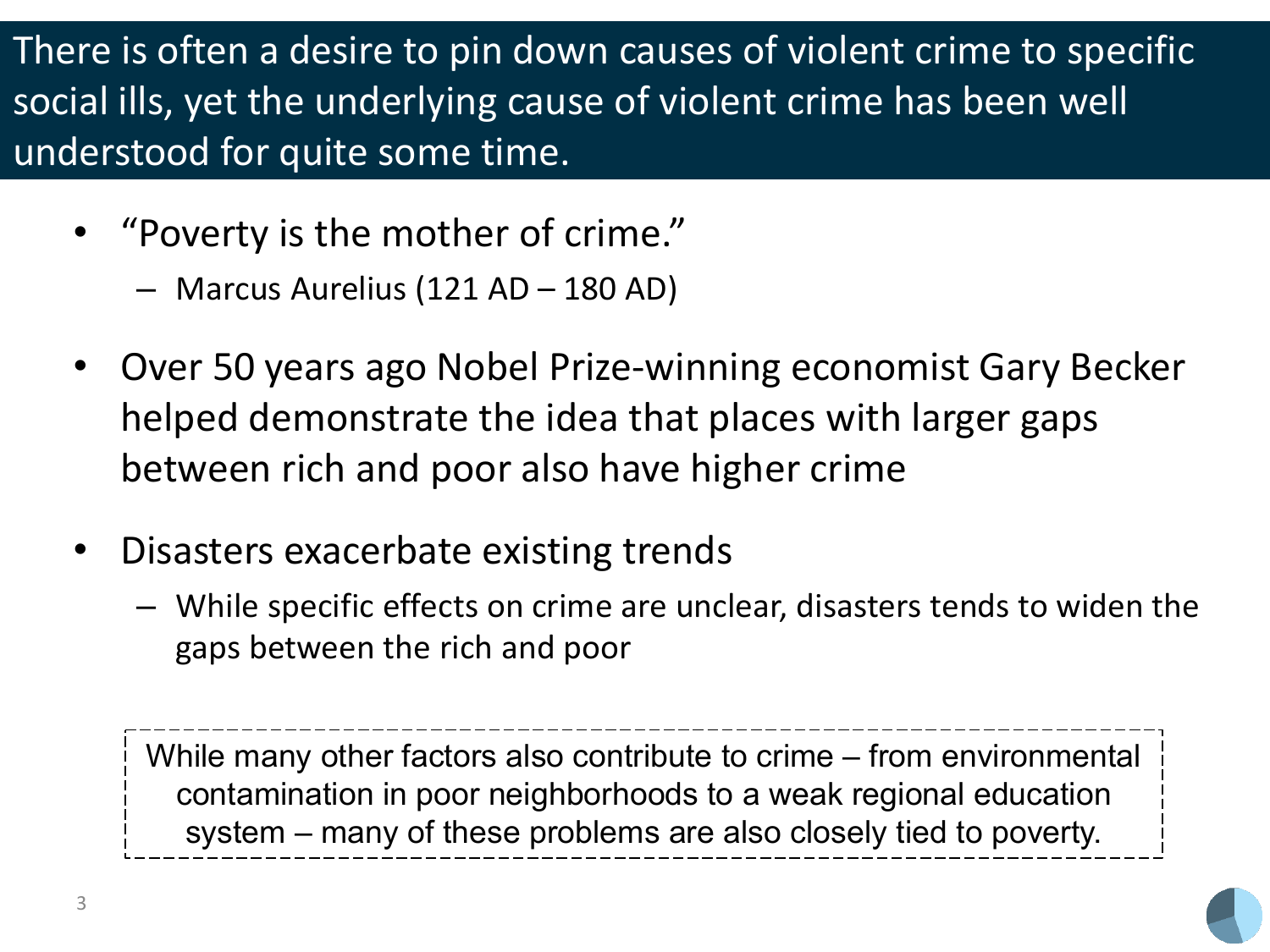There is often a desire to pin down causes of violent crime to specific social ills, yet the underlying cause of violent crime has been well understood for quite some time.

- "Poverty is the mother of crime."
	- Marcus Aurelius (121 AD 180 AD)
- Over 50 years ago Nobel Prize-winning economist Gary Becker helped demonstrate the idea that places with larger gaps between rich and poor also have higher crime
- Disasters exacerbate existing trends
	- While specific effects on crime are unclear, disasters tends to widen the gaps between the rich and poor

While many other factors also contribute to crime – from environmental contamination in poor neighborhoods to a weak regional education system – many of these problems are also closely tied to poverty.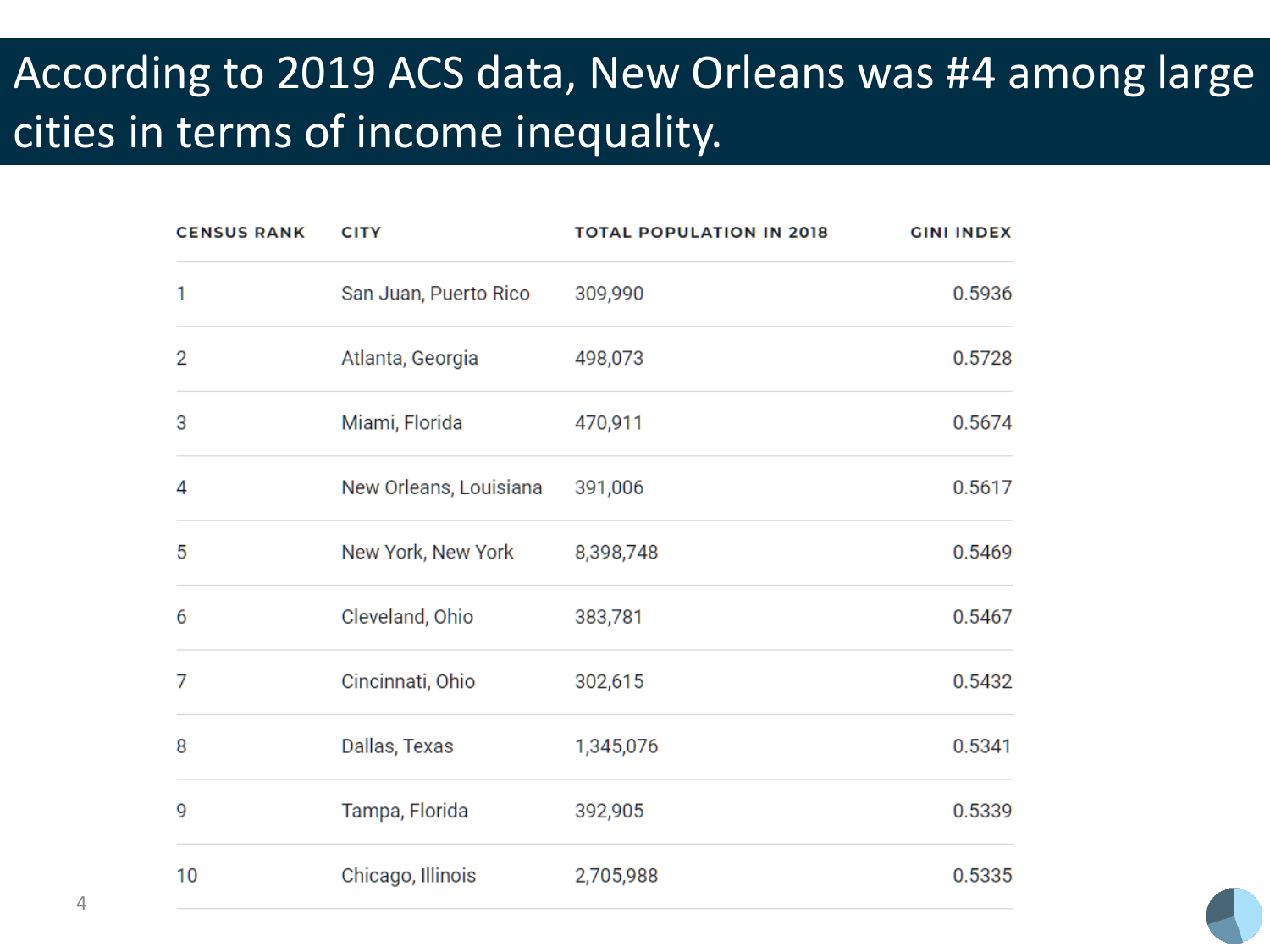### According to 2019 ACS data, New Orleans was #4 among large cities in terms of income inequality.

| <b>CENSUS RANK</b> | <b>CITY</b>            | <b>TOTAL POPULATION IN 2018</b> | <b>GINI INDEX</b> |
|--------------------|------------------------|---------------------------------|-------------------|
| 1                  | San Juan, Puerto Rico  | 309,990                         | 0.5936            |
| 2                  | Atlanta, Georgia       | 498,073                         | 0.5728            |
| 3                  | Miami, Florida         | 470,911                         | 0.5674            |
| 4                  | New Orleans, Louisiana | 391,006                         | 0.5617            |
| 5                  | New York, New York     | 8,398,748                       | 0.5469            |
| 6                  | Cleveland, Ohio        | 383,781                         | 0.5467            |
| 7                  | Cincinnati, Ohio       | 302,615                         | 0.5432            |
| 8                  | Dallas, Texas          | 1,345,076                       | 0.5341            |
| 9                  | Tampa, Florida         | 392,905                         | 0.5339            |
| 10                 | Chicago, Illinois      | 2,705,988                       | 0.5335            |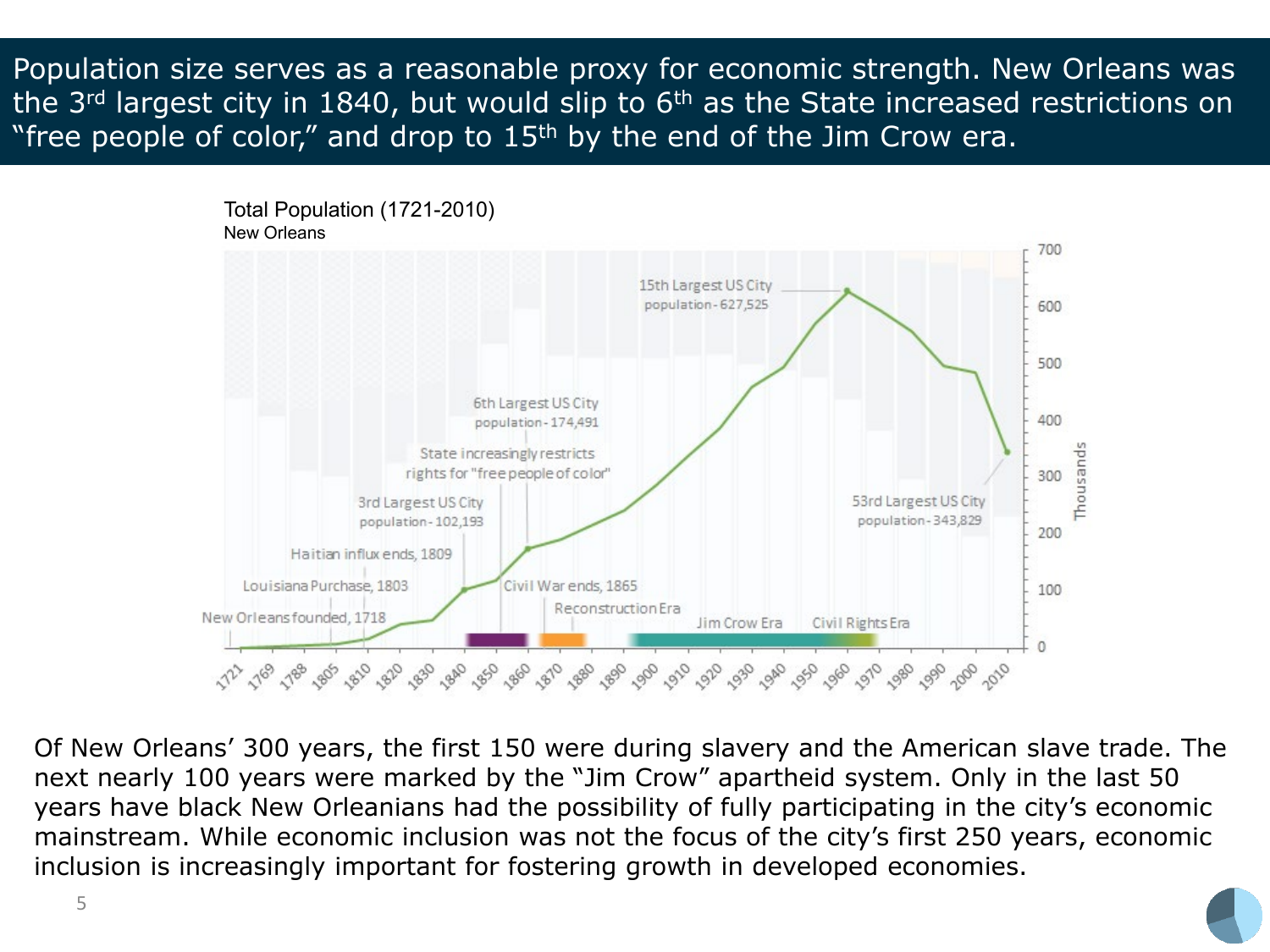Population size serves as a reasonable proxy for economic strength. New Orleans was the 3<sup>rd</sup> largest city in 1840, but would slip to 6<sup>th</sup> as the State increased restrictions on "free people of color," and drop to  $15<sup>th</sup>$  by the end of the Jim Crow era.



Of New Orleans' 300 years, the first 150 were during slavery and the American slave trade. The next nearly 100 years were marked by the "Jim Crow" apartheid system. Only in the last 50 years have black New Orleanians had the possibility of fully participating in the city's economic mainstream. While economic inclusion was not the focus of the city's first 250 years, economic inclusion is increasingly important for fostering growth in developed economies.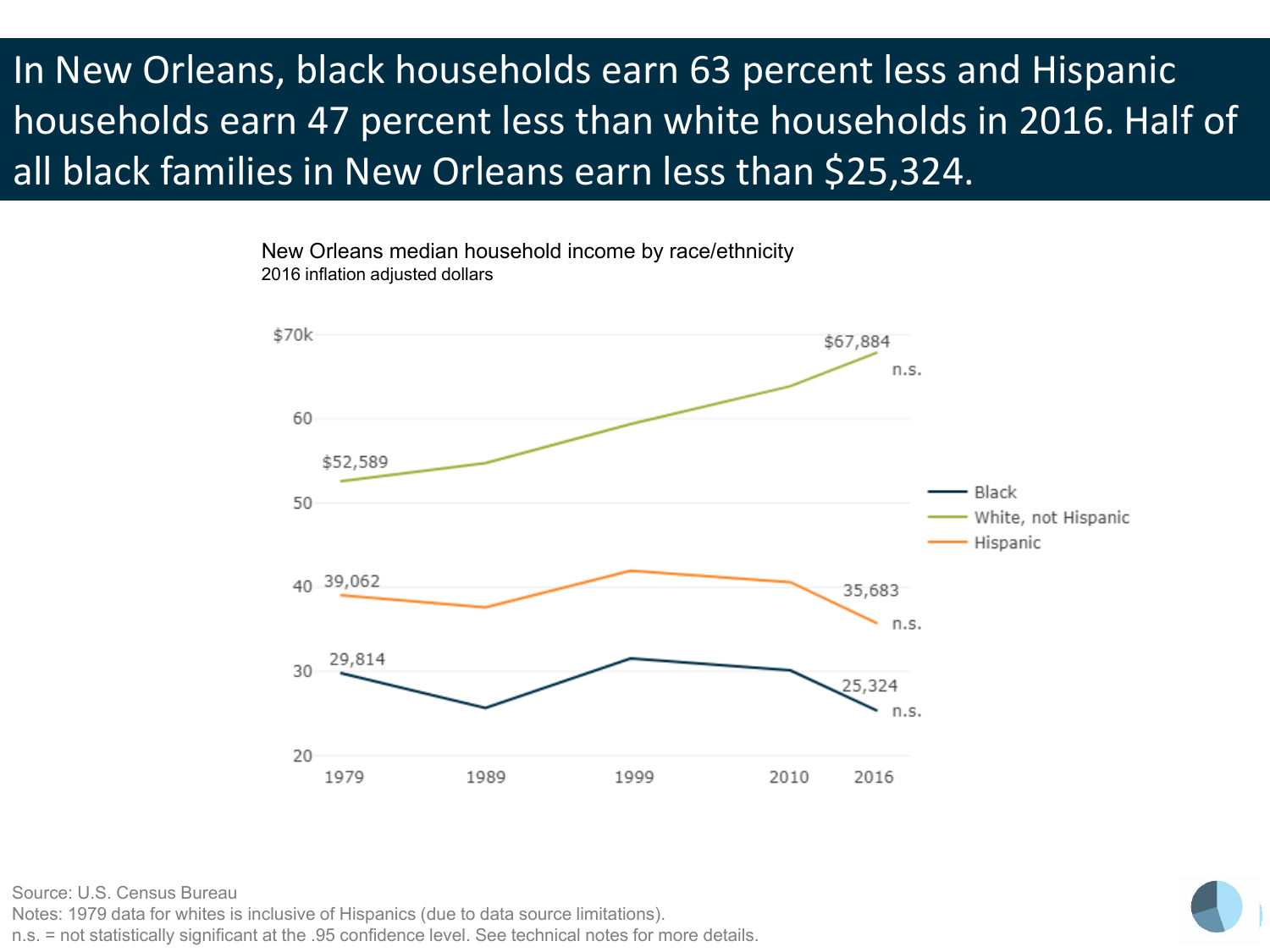### In New Orleans, black households earn 63 percent less and Hispanic households earn 47 percent less than white households in 2016. Half of all black families in New Orleans earn less than \$25,324.

New Orleans median household income by race/ethnicity 2016 inflation adjusted dollars



Source: U.S. Census Bureau

Notes: 1979 data for whites is inclusive of Hispanics (due to data source limitations).

n.s. = not statistically significant at the .95 confidence level. See technical notes for more details.

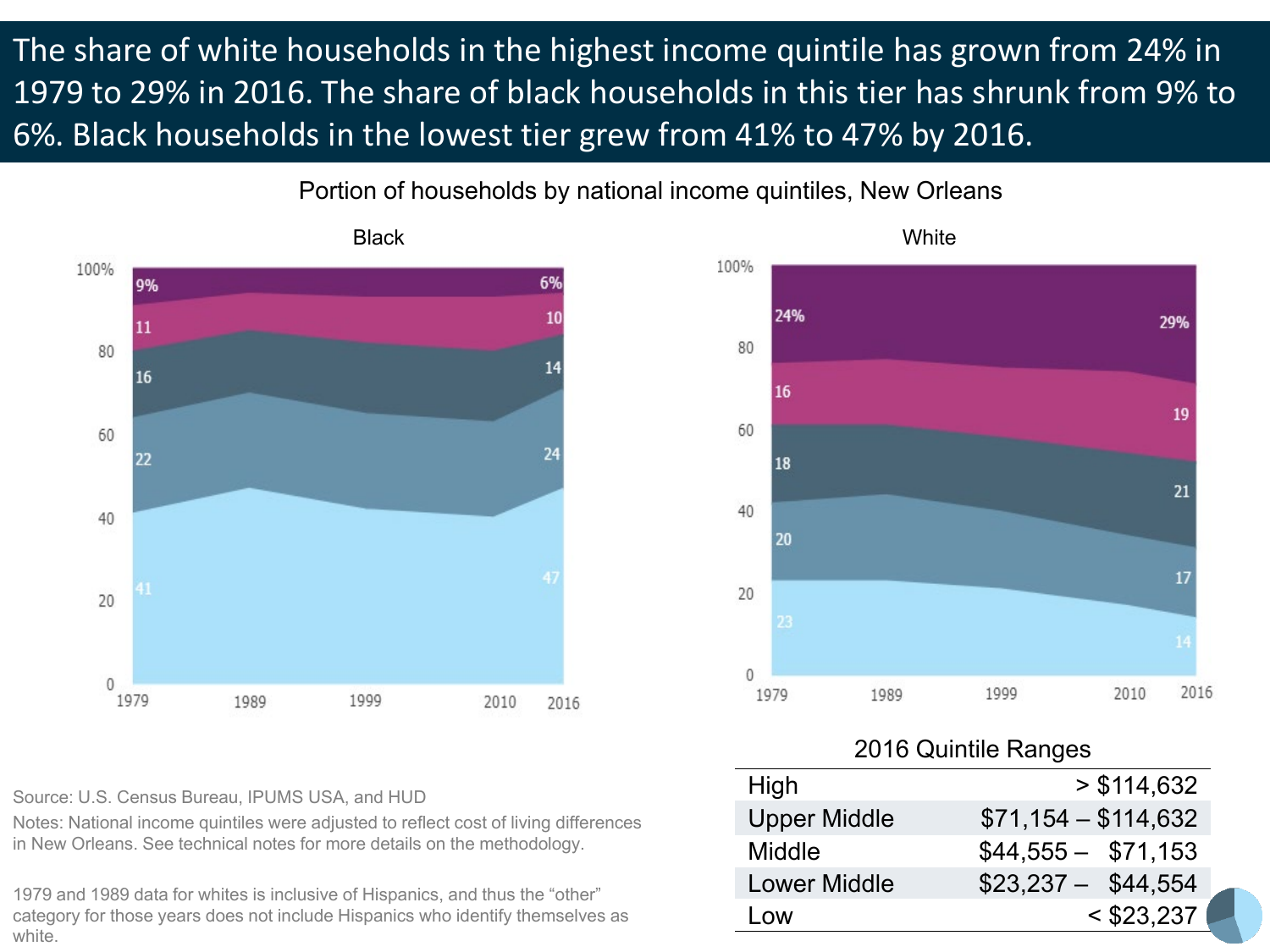The share of white households in the highest income quintile has grown from 24% in 1979 to 29% in 2016. The share of black households in this tier has shrunk from 9% to 6%. Black households in the lowest tier grew from 41% to 47% by 2016.

Portion of households by national income quintiles, New Orleans





Source: U.S. Census Bureau, IPUMS USA, and HUD

Notes: National income quintiles were adjusted to reflect cost of living differences in New Orleans. See technical notes for more details on the methodology.

1979 and 1989 data for whites is inclusive of Hispanics, and thus the "other" category for those years does not include Hispanics who identify themselves as white.

#### 2016 Quintile Ranges

| High                | > \$114,632          |
|---------------------|----------------------|
| <b>Upper Middle</b> | $$71,154 - $114,632$ |
| Middle              | $$44,555 - $71,153$  |
| <b>Lower Middle</b> | $$23,237 - $44,554$  |
| l ow                | $<$ \$23,237         |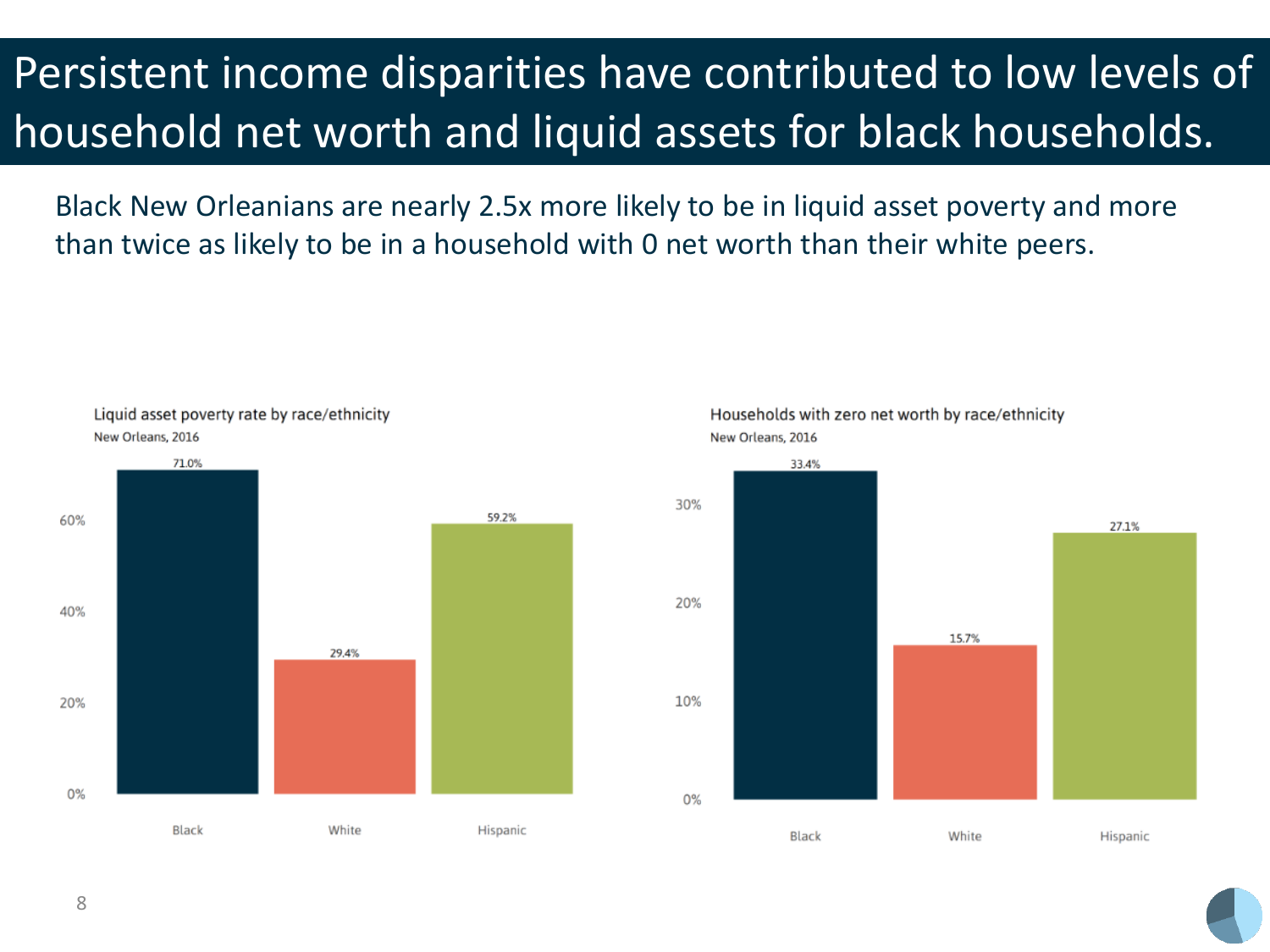## Persistent income disparities have contributed to low levels of household net worth and liquid assets for black households.

Black New Orleanians are nearly 2.5x more likely to be in liquid asset poverty and more than twice as likely to be in a household with 0 net worth than their white peers.



Households with zero net worth by race/ethnicity New Orleans, 2016

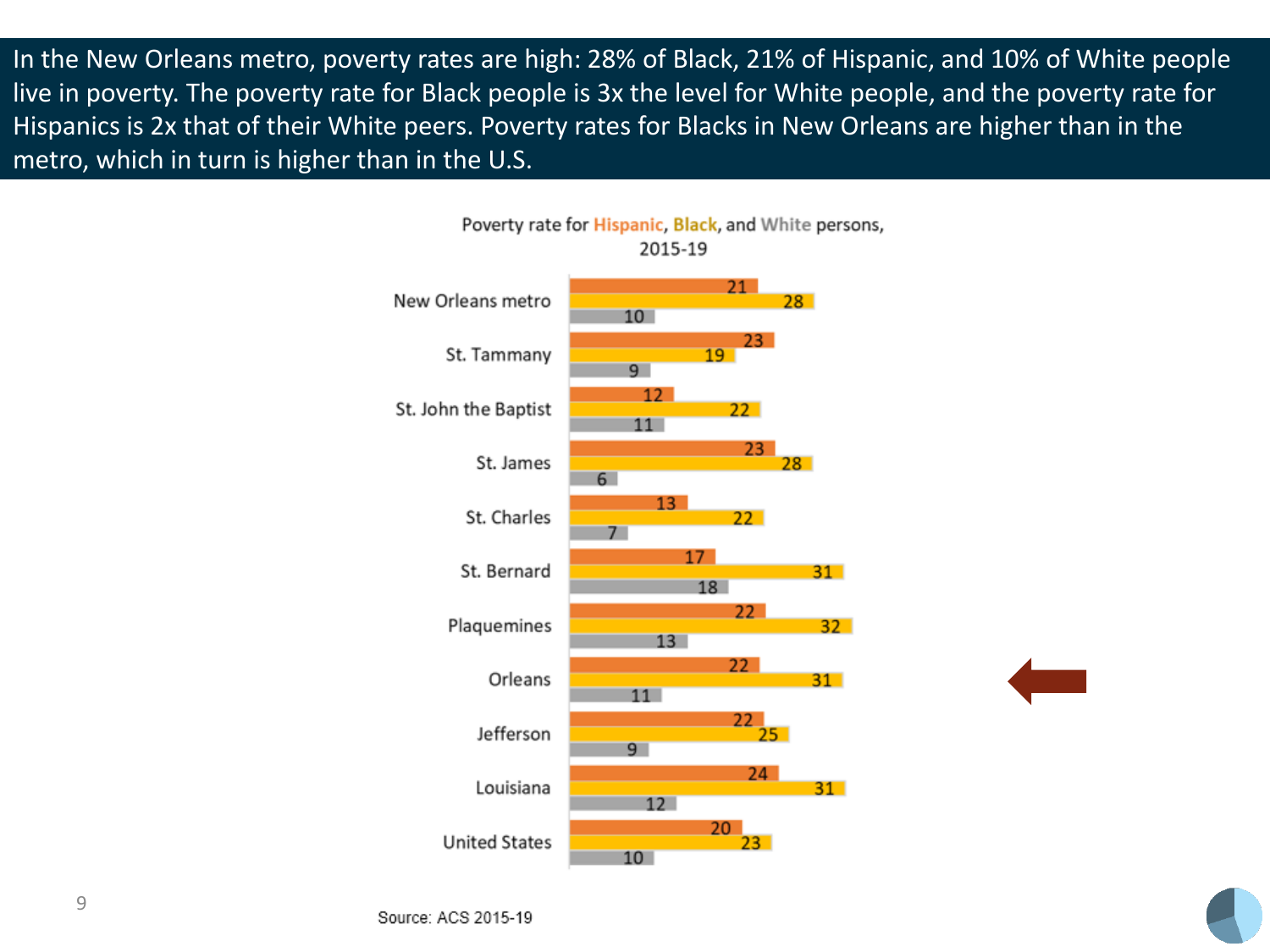In the New Orleans metro, poverty rates are high: 28% of Black, 21% of Hispanic, and 10% of White people live in poverty. The poverty rate for Black people is 3x the level for White people, and the poverty rate for Hispanics is 2x that of their White peers. Poverty rates for Blacks in New Orleans are higher than in the metro, which in turn is higher than in the U.S.



Poverty rate for Hispanic, Black, and White persons,

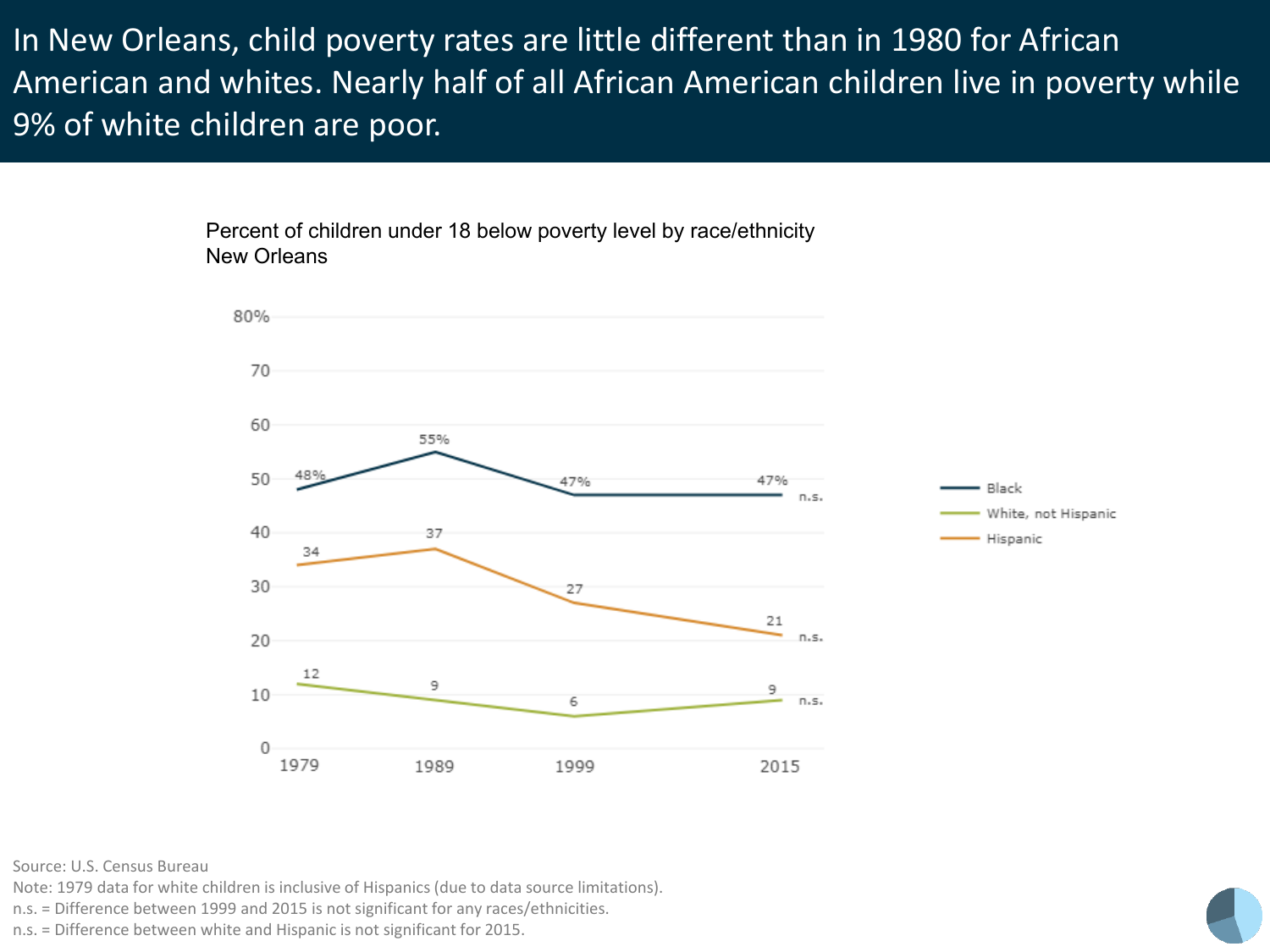In New Orleans, child poverty rates are little different than in 1980 for African American and whites. Nearly half of all African American children live in poverty while 9% of white children are poor.

> Percent of children under 18 below poverty level by race/ethnicity New Orleans



Source: U.S. Census Bureau

Note: 1979 data for white children is inclusive of Hispanics (due to data source limitations).

n.s. = Difference between 1999 and 2015 is not significant for any races/ethnicities.

n.s. = Difference between white and Hispanic is not significant for 2015.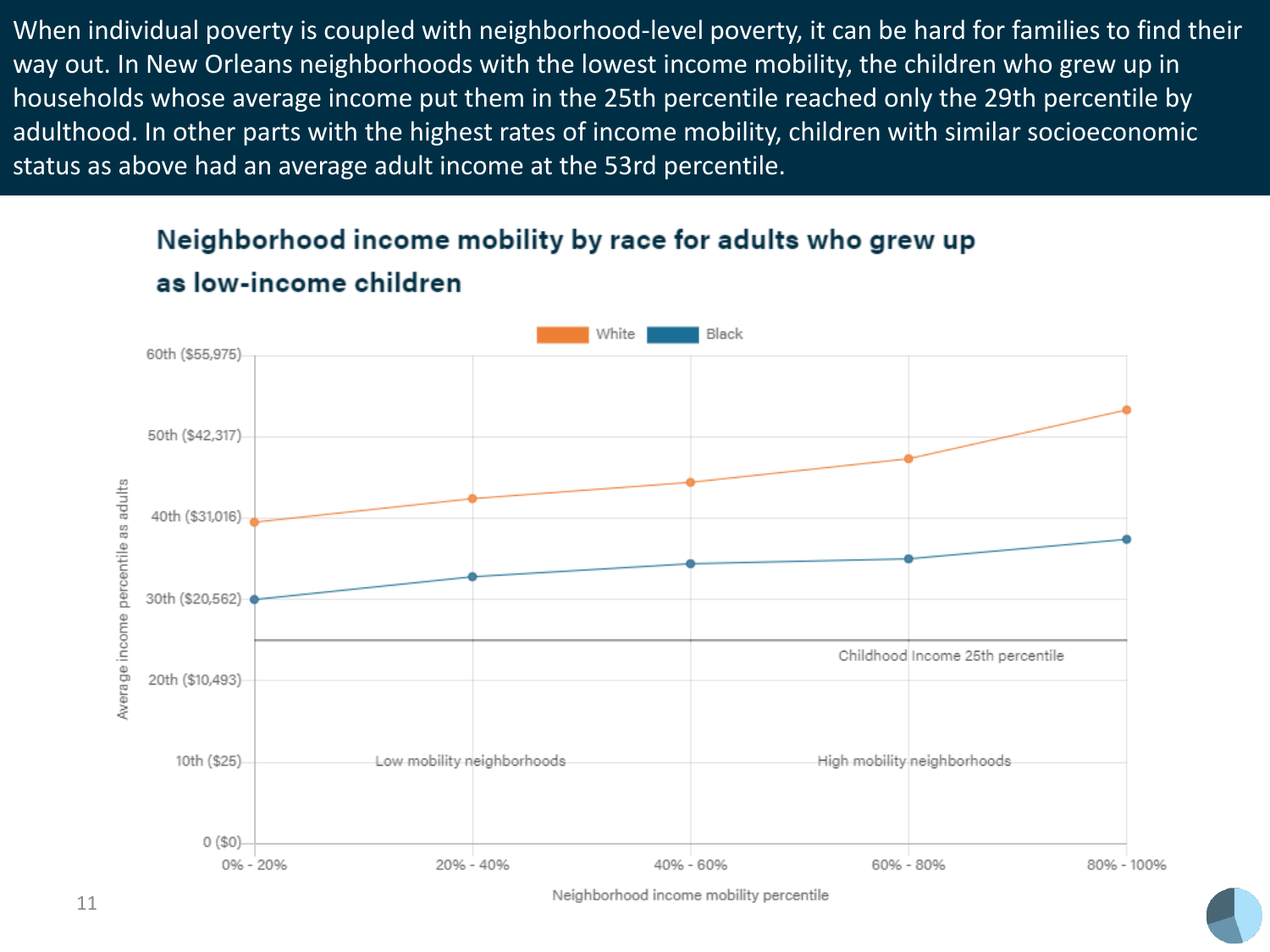When individual poverty is coupled with neighborhood-level poverty, it can be hard for families to find their way out. In New Orleans neighborhoods with the lowest income mobility, the children who grew up in households whose average income put them in the 25th percentile reached only the 29th percentile by adulthood. In other parts with the highest rates of income mobility, children with similar socioeconomic status as above had an average adult income at the 53rd percentile.

### Neighborhood income mobility by race for adults who grew up as low-income children



Neighborhood income mobility percentile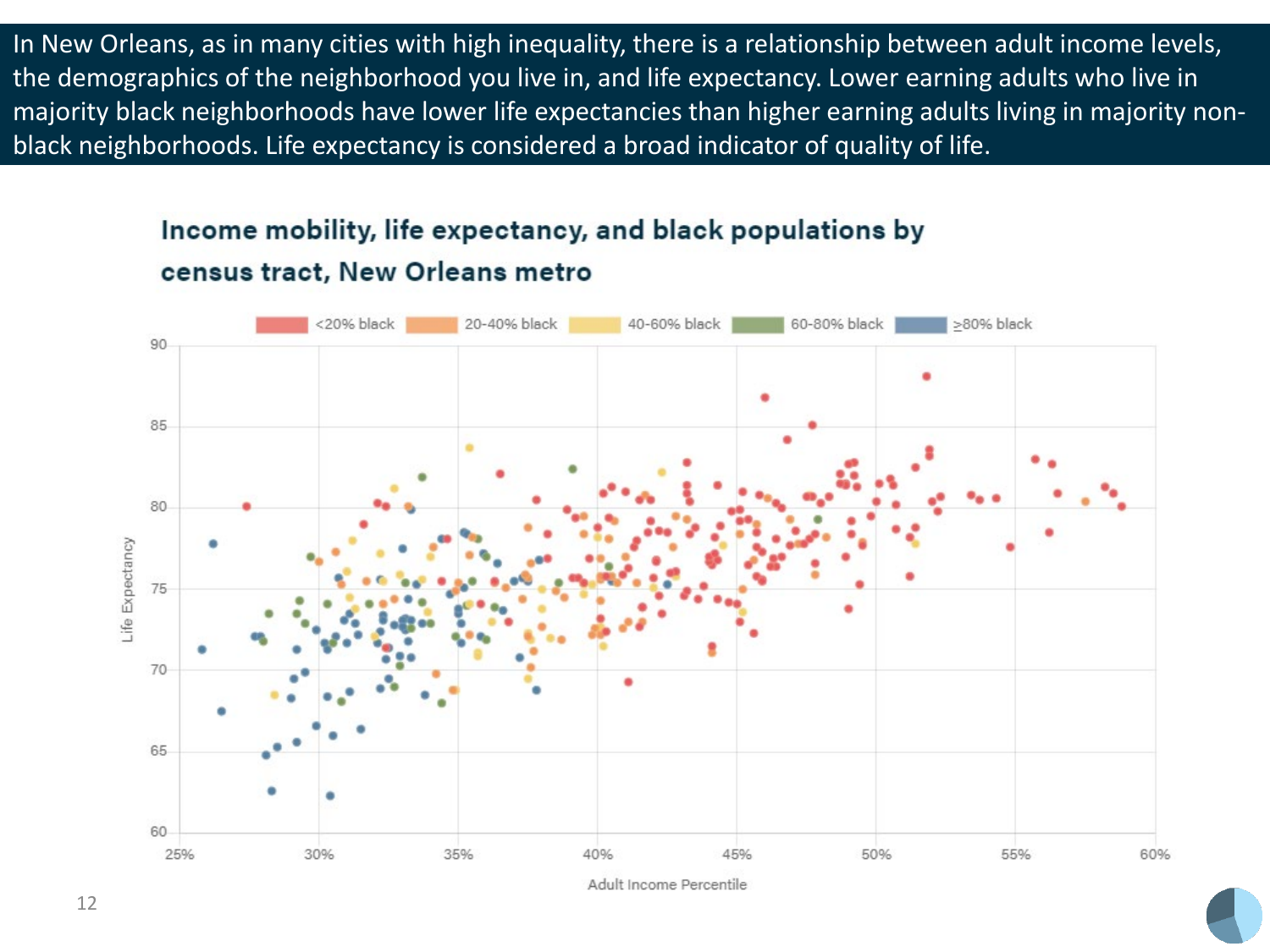In New Orleans, as in many cities with high inequality, there is a relationship between adult income levels, the demographics of the neighborhood you live in, and life expectancy. Lower earning adults who live in majority black neighborhoods have lower life expectancies than higher earning adults living in majority nonblack neighborhoods. Life expectancy is considered a broad indicator of quality of life.

#### Income mobility, life expectancy, and black populations by census tract, New Orleans metro

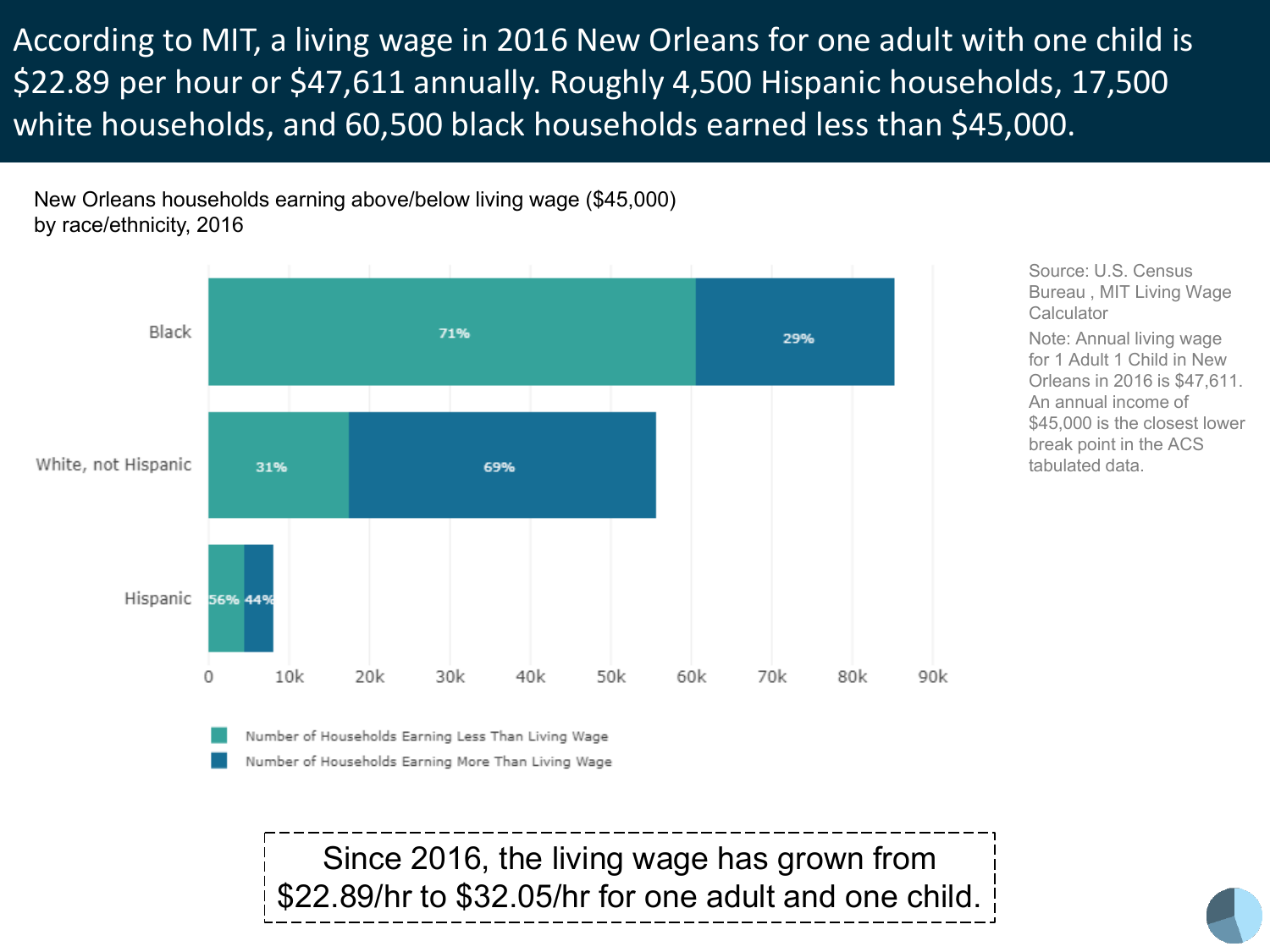According to MIT, a living wage in 2016 New Orleans for one adult with one child is \$22.89 per hour or \$47,611 annually. Roughly 4,500 Hispanic households, 17,500 white households, and 60,500 black households earned less than \$45,000.

New Orleans households earning above/below living wage (\$45,000) by race/ethnicity, 2016



Source: U.S. Census Bureau , MIT Living Wage **Calculator** Note: Annual living wage for 1 Adult 1 Child in New Orleans in 2016 is \$47,611. An annual income of \$45,000 is the closest lower break point in the ACS tabulated data.

Number of Households Earning More Than Living Wage

Since 2016, the living wage has grown from \$22.89/hr to \$32.05/hr for one adult and one child.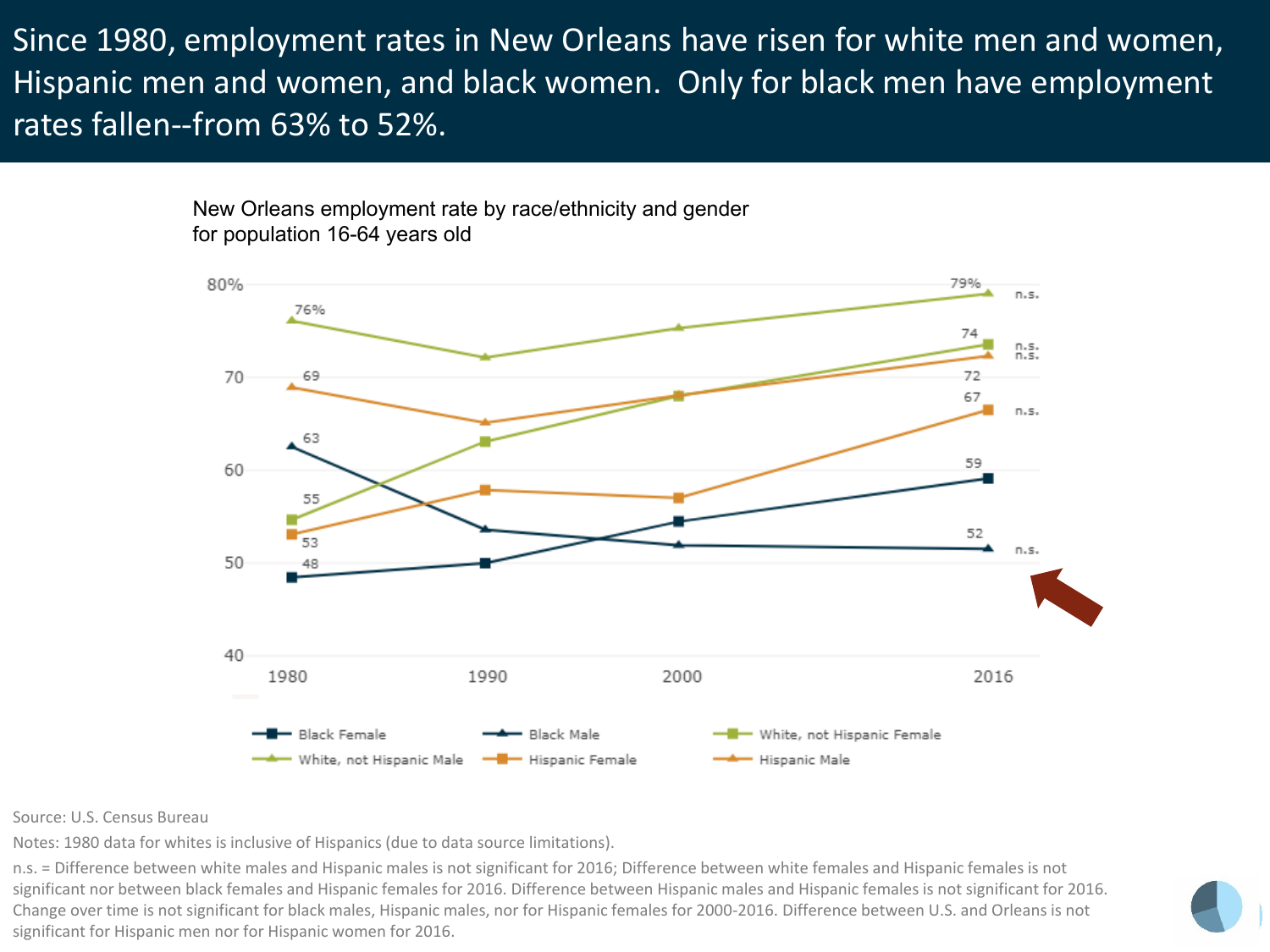Since 1980, employment rates in New Orleans have risen for white men and women, Hispanic men and women, and black women. Only for black men have employment rates fallen--from 63% to 52%.

> New Orleans employment rate by race/ethnicity and gender for population 16-64 years old



Source: U.S. Census Bureau

Notes: 1980 data for whites is inclusive of Hispanics (due to data source limitations).

n.s. = Difference between white males and Hispanic males is not significant for 2016; Difference between white females and Hispanic females is not significant nor between black females and Hispanic females for 2016. Difference between Hispanic males and Hispanic females is not significant for 2016. Change over time is not significant for black males, Hispanic males, nor for Hispanic females for 2000-2016. Difference between U.S. and Orleans is not significant for Hispanic men nor for Hispanic women for 2016.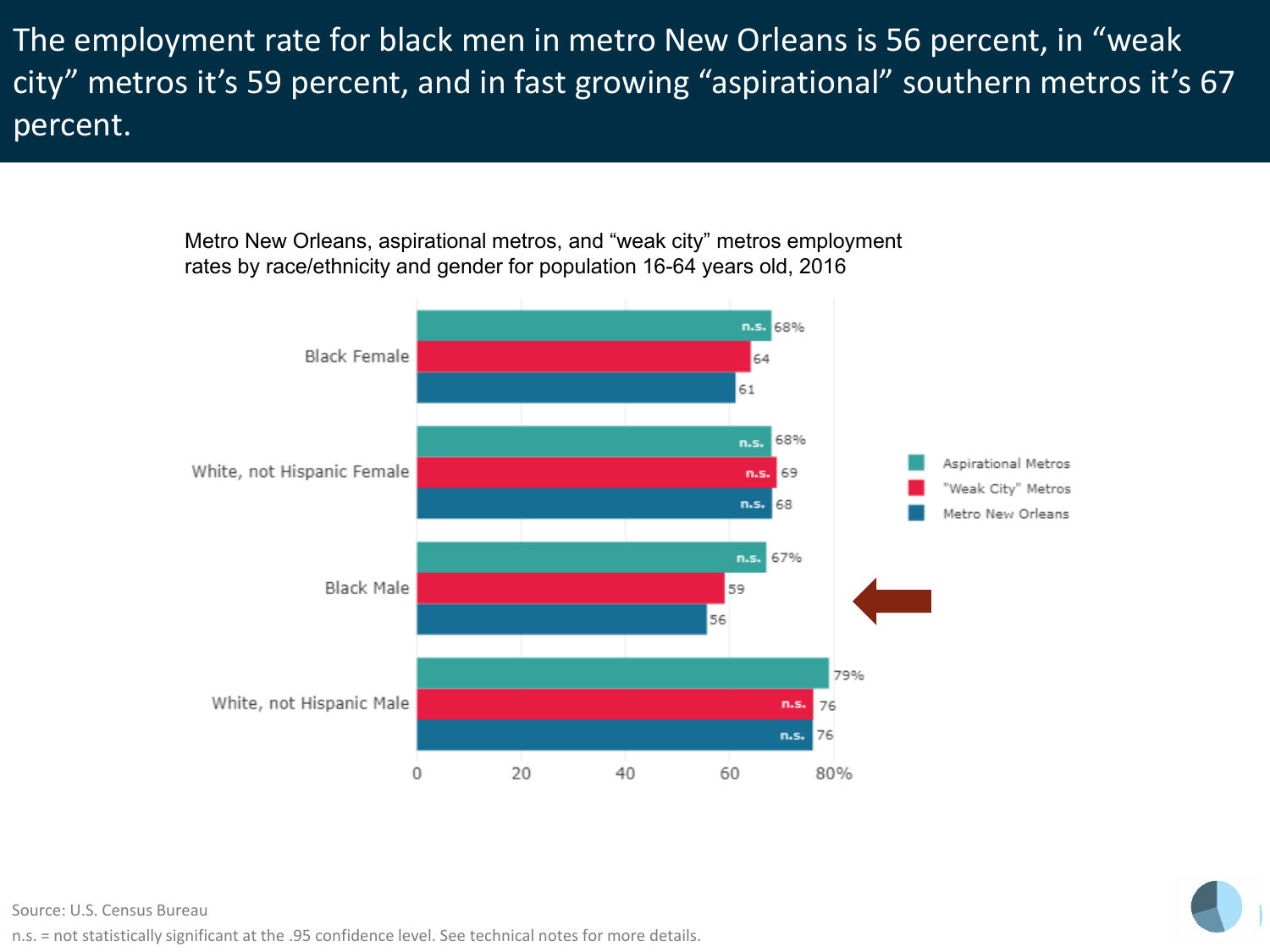The employment rate for black men in metro New Orleans is 56 percent, in "weak city" metros it's 59 percent, and in fast growing "aspirational" southern metros it's 67 percent.

> Metro New Orleans, aspirational metros, and "weak city" metros employment rates by race/ethnicity and gender for population 16-64 years old, 2016





#### Source: U.S. Census Bureau

n.s. = not statistically significant at the .95 confidence level. See technical notes for more details.